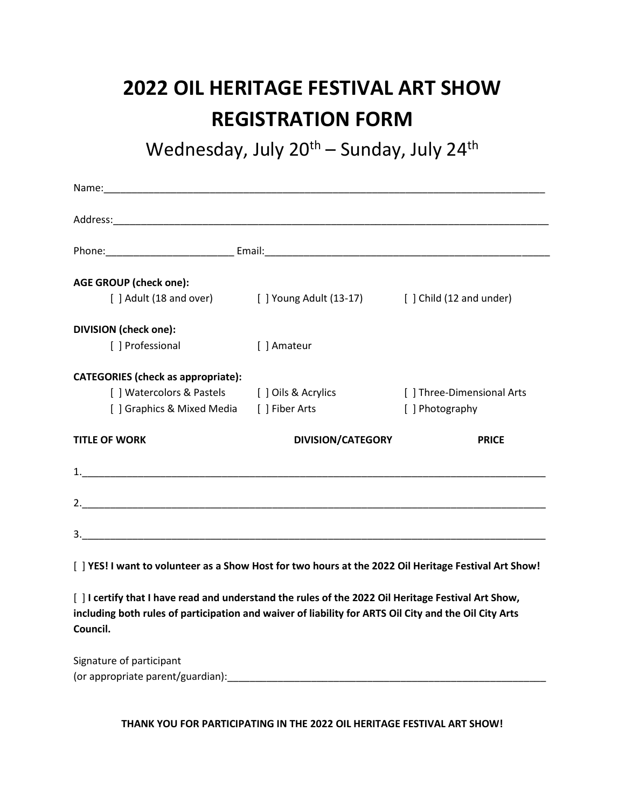## **2022 OIL HERITAGE FESTIVAL ART SHOW REGISTRATION FORM**

Wednesday, July 20<sup>th</sup> – Sunday, July 24<sup>th</sup>

| <b>AGE GROUP (check one):</b>                                                                                                                                                                                            |                                                                          |                            |
|--------------------------------------------------------------------------------------------------------------------------------------------------------------------------------------------------------------------------|--------------------------------------------------------------------------|----------------------------|
|                                                                                                                                                                                                                          | [ ] Adult (18 and over) [ ] Young Adult (13-17) [ ] Child (12 and under) |                            |
| <b>DIVISION (check one):</b>                                                                                                                                                                                             |                                                                          |                            |
| [ ] Professional                                                                                                                                                                                                         | [ ] Amateur                                                              |                            |
| <b>CATEGORIES</b> (check as appropriate):                                                                                                                                                                                |                                                                          |                            |
|                                                                                                                                                                                                                          | [] Watercolors & Pastels [] Oils & Acrylics                              | [ ] Three-Dimensional Arts |
| [ ] Graphics & Mixed Media [ ] Fiber Arts                                                                                                                                                                                |                                                                          | [ ] Photography            |
| <b>TITLE OF WORK</b>                                                                                                                                                                                                     | <b>DIVISION/CATEGORY</b>                                                 | <b>PRICE</b>               |
| $\mathbf{1.}$                                                                                                                                                                                                            |                                                                          |                            |
|                                                                                                                                                                                                                          |                                                                          |                            |
|                                                                                                                                                                                                                          |                                                                          |                            |
| [ ] YES! I want to volunteer as a Show Host for two hours at the 2022 Oil Heritage Festival Art Show!                                                                                                                    |                                                                          |                            |
| [ ] I certify that I have read and understand the rules of the 2022 Oil Heritage Festival Art Show,<br>including both rules of participation and waiver of liability for ARTS Oil City and the Oil City Arts<br>Council. |                                                                          |                            |

Signature of participant (or appropriate parent/guardian):\_\_\_\_\_\_\_\_\_\_\_\_\_\_\_\_\_\_\_\_\_\_\_\_\_\_\_\_\_\_\_\_\_\_\_\_\_\_\_\_\_\_\_\_\_\_\_\_\_\_\_\_\_\_\_\_\_

**THANK YOU FOR PARTICIPATING IN THE 2022 OIL HERITAGE FESTIVAL ART SHOW!**